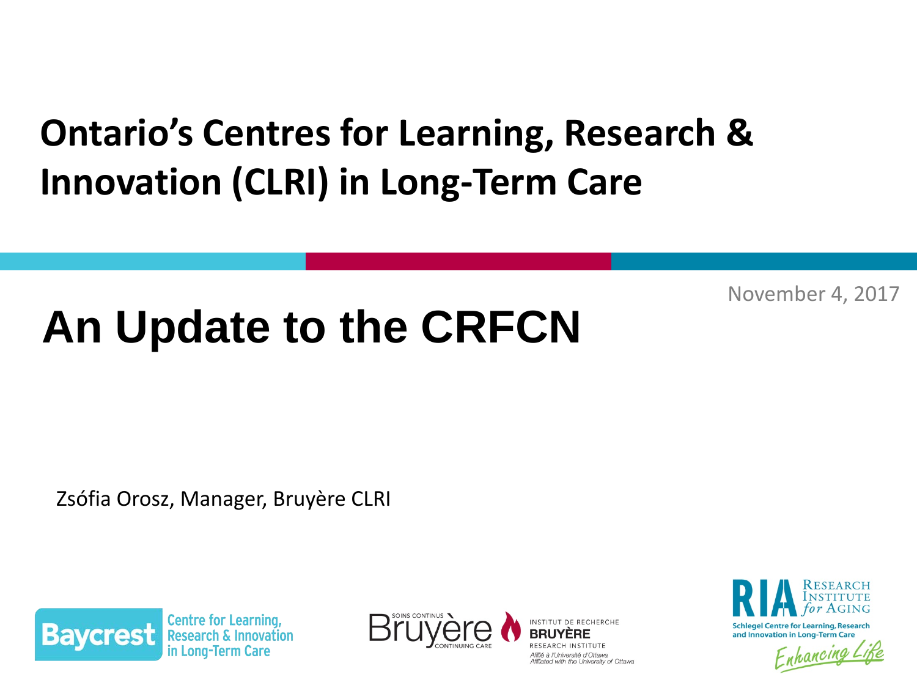## **Ontario's Centres for Learning, Research & Innovation (CLRI) in Long-Term Care**

November 4, 2017

### $\blacksquare$  Ontariote for Learning,  $\blacksquare$ **An Update to the CRFCN**

Zsófia Orosz, Manager, Bruyère CLRI



Centre for Learning



Affilié à l'Université d'Ottawa Affiliated with the University of Ottawa



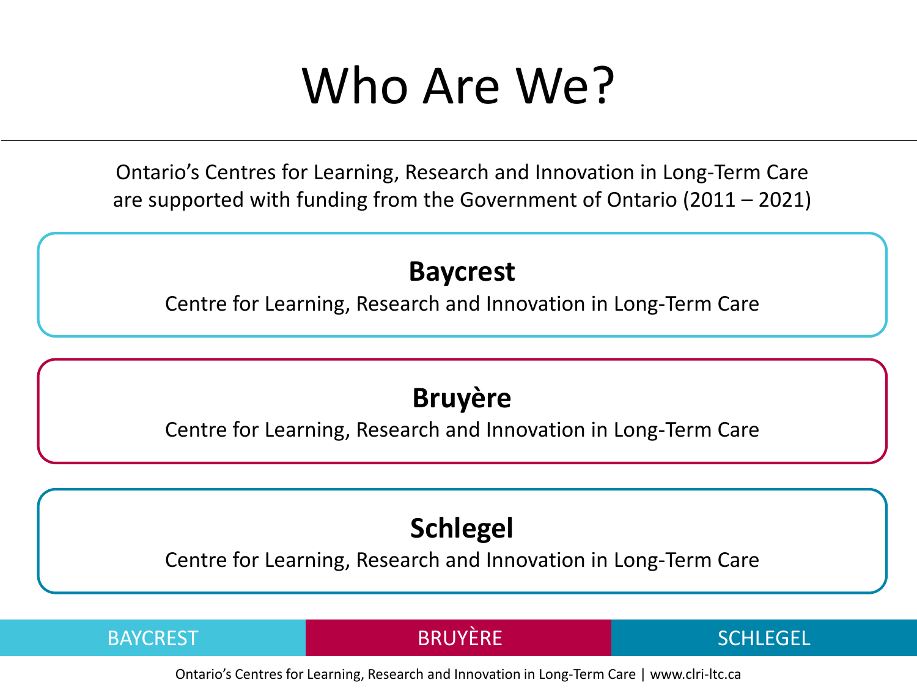## Who Are We?

Ontario's Centres for Learning, Research and Innovation in Long-Term Care are supported with funding from the Government of Ontario (2011 – 2021)

#### **Baycrest**

Centre for Learning, Research and Innovation in Long-Term Care

### **Bruyère**

Centre for Learning, Research and Innovation in Long-Term Care

## **Schlegel**

Centre for Learning, Research and Innovation in Long-Term Care

BAYCREST BRUYÈRE SCHLEGEL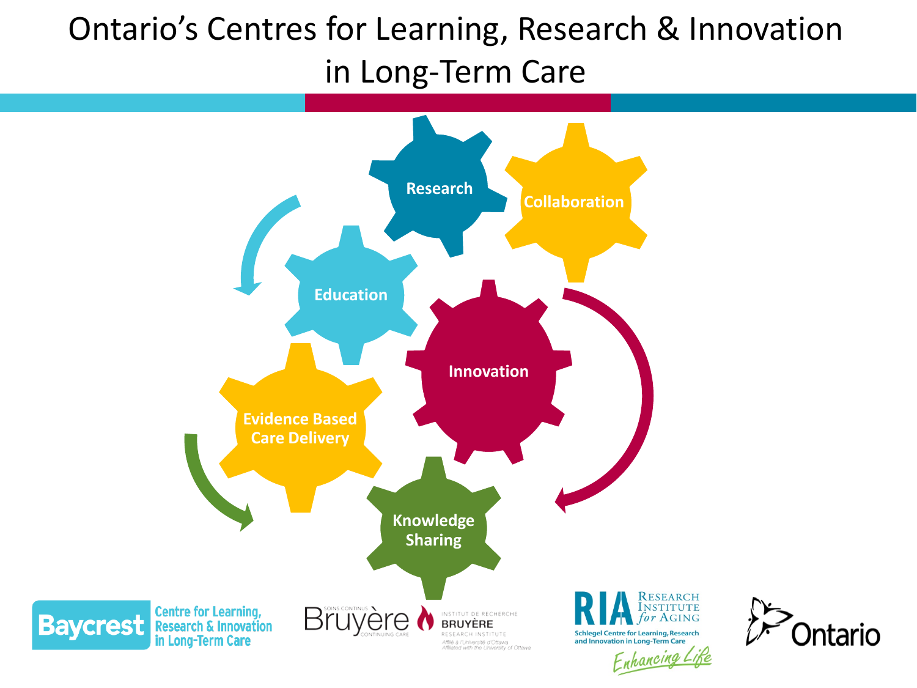## Ontario's Centres for Learning, Research & Innovation in Long-Term Care

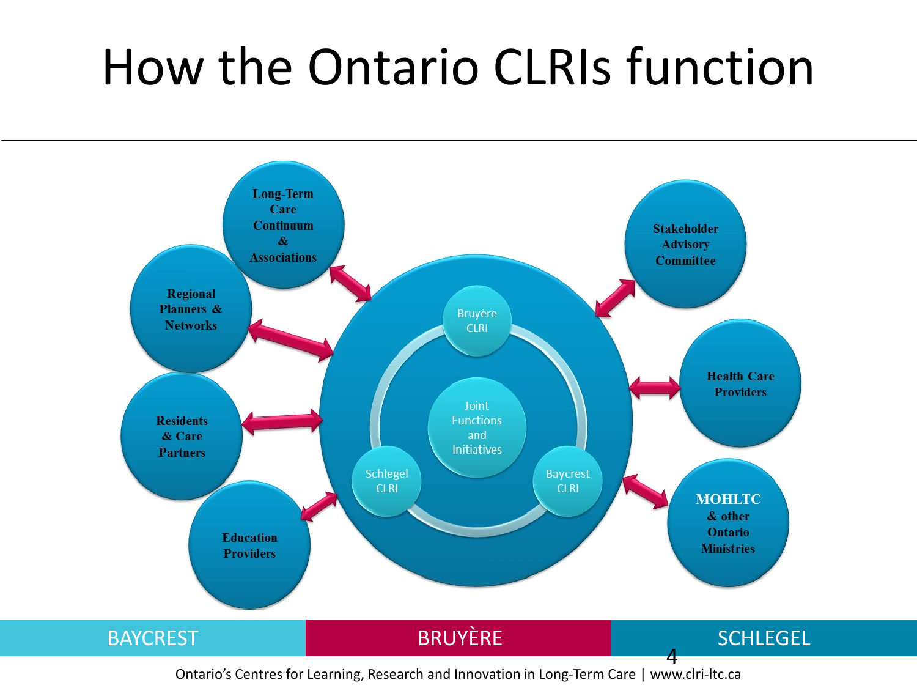## How the Ontario CLRIs function

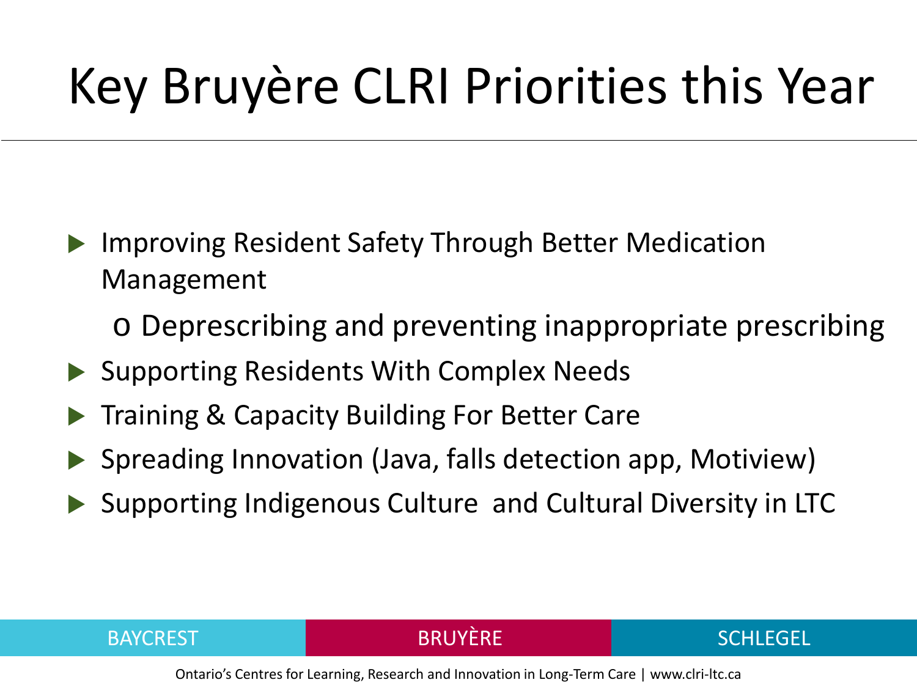## Key Bruyère CLRI Priorities this Year

- Improving Resident Safety Through Better Medication Management
	- o Deprescribing and preventing inappropriate prescribing
- ▶ Supporting Residents With Complex Needs
- Training & Capacity Building For Better Care
- ▶ Spreading Innovation (Java, falls detection app, Motiview)
- ▶ Supporting Indigenous Culture and Cultural Diversity in LTC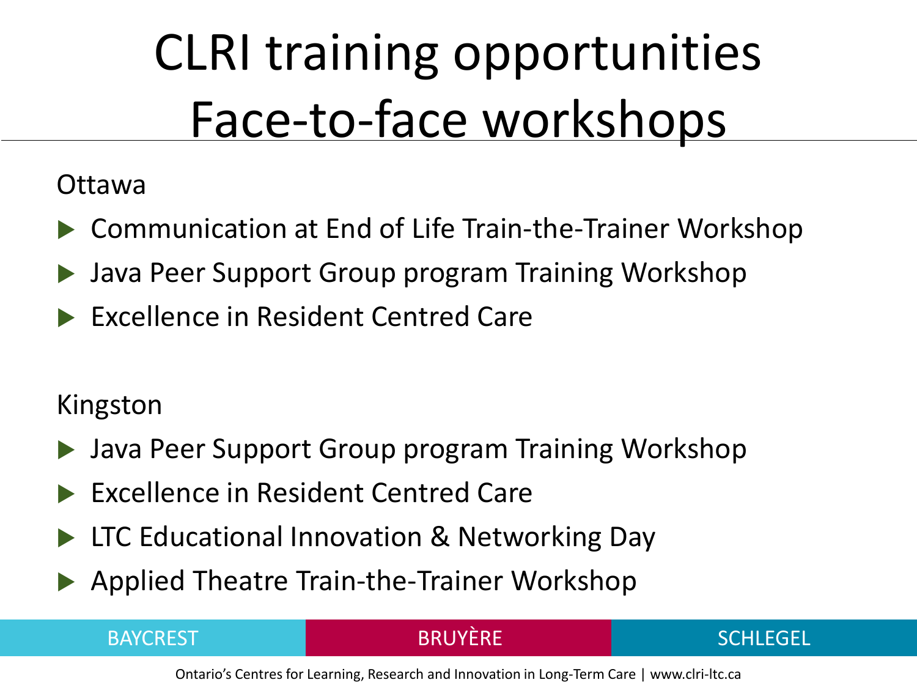# CLRI training opportunities Face-to-face workshops

#### Ottawa

- ▶ Communication at End of Life Train-the-Trainer Workshop
- Java Peer Support Group program Training Workshop
- ▶ Excellence in Resident Centred Care

### Kingston

- Java Peer Support Group program Training Workshop
- ▶ Excellence in Resident Centred Care
- ▶ LTC Educational Innovation & Networking Day
- Applied Theatre Train-the-Trainer Workshop

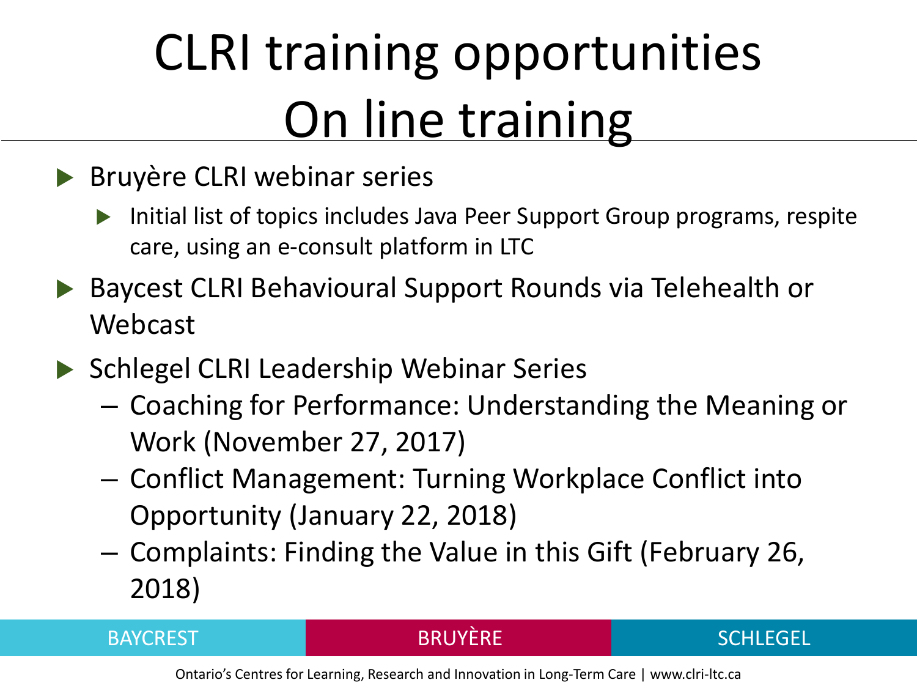# CLRI training opportunities **On line training**

### **Bruyère CLRI webinar series**

- Initial list of topics includes Java Peer Support Group programs, respite care, using an e-consult platform in LTC
- ▶ Baycest CLRI Behavioural Support Rounds via Telehealth or Webcast
- ▶ Schlegel CLRI Leadership Webinar Series
	- Coaching for Performance: Understanding the Meaning or Work (November 27, 2017)
	- Conflict Management: Turning Workplace Conflict into Opportunity (January 22, 2018)
	- Complaints: Finding the Value in this Gift (February 26, 2018)